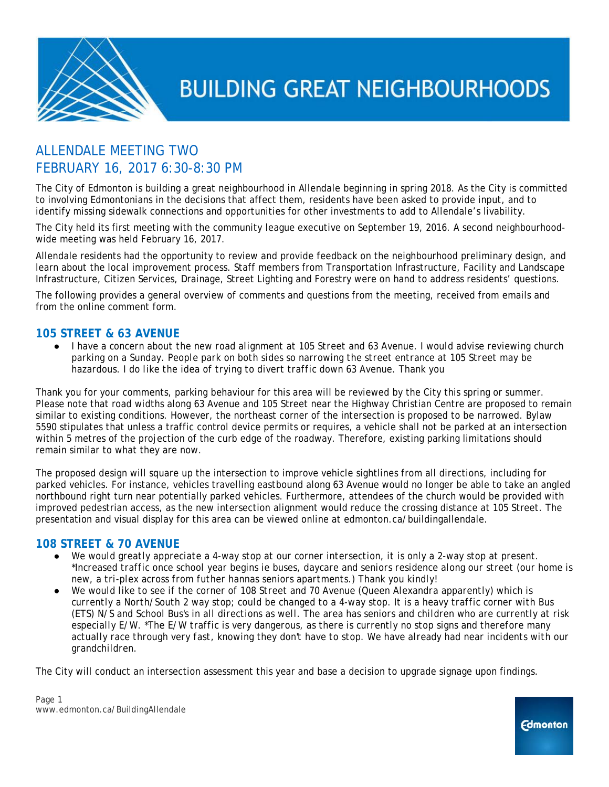

### ALLENDALE MEETING TWO FEBRUARY 16, 2017 6:30-8:30 PM

The City of Edmonton is building a great neighbourhood in Allendale beginning in spring 2018. As the City is committed to involving Edmontonians in the decisions that affect them, residents have been asked to provide input, and to identify missing sidewalk connections and opportunities for other investments to add to Allendale's livability.

The City held its first meeting with the community league executive on September 19, 2016. A second neighbourhoodwide meeting was held February 16, 2017.

Allendale residents had the opportunity to review and provide feedback on the neighbourhood preliminary design, and learn about the local improvement process. Staff members from Transportation Infrastructure, Facility and Landscape Infrastructure, Citizen Services, Drainage, Street Lighting and Forestry were on hand to address residents' questions.

The following provides a general overview of comments and questions from the meeting, received from emails and from the online comment form.

### **105 STREET & 63 AVENUE**

● *I have a concern about the new road alignment at 105 Street and 63 Avenue. I would advise reviewing church parking on a Sunday. People park on both sides so narrowing the street entrance at 105 Street may be hazardous. I do like the idea of trying to divert traffic down 63 Avenue. Thank you*

Thank you for your comments, parking behaviour for this area will be reviewed by the City this spring or summer. Please note that road widths along 63 Avenue and 105 Street near the Highway Christian Centre are proposed to remain similar to existing conditions. However, the northeast corner of the intersection is proposed to be narrowed. Bylaw 5590 stipulates that unless a traffic control device permits or requires, a vehicle shall not be parked at an intersection within 5 metres of the projection of the curb edge of the roadway. Therefore, existing parking limitations should remain similar to what they are now.

The proposed design will square up the intersection to improve vehicle sightlines from all directions, including for parked vehicles. For instance, vehicles travelling eastbound along 63 Avenue would no longer be able to take an angled northbound right turn near potentially parked vehicles. Furthermore, attendees of the church would be provided with improved pedestrian access, as the new intersection alignment would reduce the crossing distance at 105 Street. The presentation and visual display for this area can be viewed online at edmonton.ca/buildingallendale.

### **108 STREET & 70 AVENUE**

- *We would greatly appreciate a 4-way stop at our corner intersection, it is only a 2-way stop at present. \*Increased traffic once school year begins ie buses, daycare and seniors residence along our street (our home is new, a tri-plex across from futher hannas seniors apartments.) Thank you kindly!*
- We would like to see if the corner of 108 Street and 70 Avenue (Queen Alexandra apparently) which is *currently a North/South 2 way stop; could be changed to a 4-way stop. It is a heavy traffic corner with Bus (ETS) N/S and School Bus's in all directions as well. The area has seniors and children who are currently at risk especially E/W. \*The E/W traffic is very dangerous, as there is currently no stop signs and therefore many actually race through very fast, knowing they don't have to stop. We have already had near incidents with our grandchildren.*

The City will conduct an intersection assessment this year and base a decision to upgrade signage upon findings.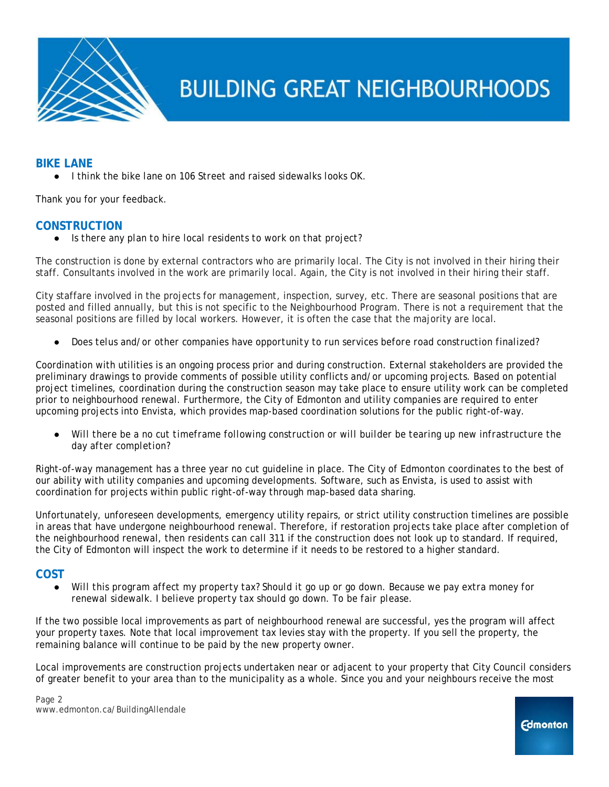

### **BIKE LANE**

● *I think the bike lane on 106 Street and raised sidewalks looks OK*.

Thank you for your feedback.

### **CONSTRUCTION**

● *Is there any plan to hire local residents to work on that project?*

The construction is done by external contractors who are primarily local. The City is not involved in their hiring their staff. Consultants involved in the work are primarily local. Again, the City is not involved in their hiring their staff.

City staffare involved in the projects for management, inspection, survey, etc. There are seasonal positions that are posted and filled annually, but this is not specific to the Neighbourhood Program. There is not a requirement that the seasonal positions are filled by local workers. However, it is often the case that the majority are local.

● *Does telus and/or other companies have opportunity to run services before road construction finalized?*

Coordination with utilities is an ongoing process prior and during construction. External stakeholders are provided the preliminary drawings to provide comments of possible utility conflicts and/or upcoming projects. Based on potential project timelines, coordination during the construction season may take place to ensure utility work can be completed prior to neighbourhood renewal. Furthermore, the City of Edmonton and utility companies are required to enter upcoming projects into Envista, which provides map-based coordination solutions for the public right-of-way.

Will there be a no cut timeframe following construction or will builder be tearing up new infrastructure the *day after completion?*

Right-of-way management has a three year no cut guideline in place. The City of Edmonton coordinates to the best of our ability with utility companies and upcoming developments. Software, such as Envista, is used to assist with coordination for projects within public right-of-way through map-based data sharing.

Unfortunately, unforeseen developments, emergency utility repairs, or strict utility construction timelines are possible in areas that have undergone neighbourhood renewal. Therefore, if restoration projects take place after completion of the neighbourhood renewal, then residents can call 311 if the construction does not look up to standard. If required, the City of Edmonton will inspect the work to determine if it needs to be restored to a higher standard.

### **COST**

● *Will this program affect my property tax? Should it go up or go down. Because we pay extra money for renewal sidewalk. I believe property tax should go down. To be fair please.*

If the two possible local improvements as part of neighbourhood renewal are successful, yes the program will affect your property taxes. Note that local improvement tax levies stay with the property. If you sell the property, the remaining balance will continue to be paid by the new property owner.

Local improvements are construction projects undertaken near or adjacent to your property that City Council considers of greater benefit to your area than to the municipality as a whole. Since you and your neighbours receive the most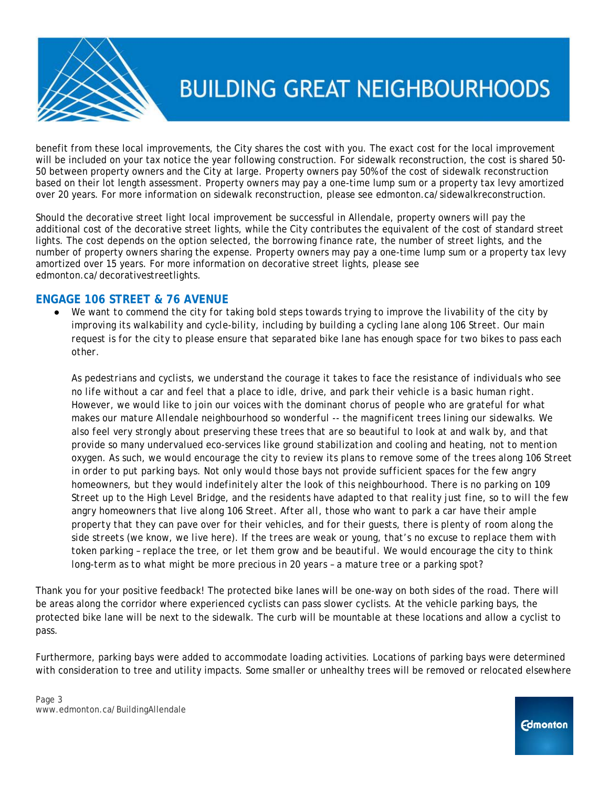

benefit from these local improvements, the City shares the cost with you. The exact cost for the local improvement will be included on your tax notice the year following construction. For sidewalk reconstruction, the cost is shared 50- 50 between property owners and the City at large. Property owners pay 50% of the cost of sidewalk reconstruction based on their lot length assessment. Property owners may pay a one-time lump sum or a property tax levy amortized over 20 years. For more information on sidewalk reconstruction, please see edmonton.ca/sidewalkreconstruction.

Should the decorative street light local improvement be successful in Allendale, property owners will pay the additional cost of the decorative street lights, while the City contributes the equivalent of the cost of standard street lights. The cost depends on the option selected, the borrowing finance rate, the number of street lights, and the number of property owners sharing the expense. Property owners may pay a one-time lump sum or a property tax levy amortized over 15 years. For more information on decorative street lights, please see edmonton.ca/decorativestreetlights.

### **ENGAGE 106 STREET & 76 AVENUE**

We want to commend the city for taking bold steps towards trying to improve the livability of the city by *improving its walkability and cycle-bility, including by building a cycling lane along 106 Street. Our main request is for the city to please ensure that separated bike lane has enough space for two bikes to pass each other.*

*As pedestrians and cyclists, we understand the courage it takes to face the resistance of individuals who see no life without a car and feel that a place to idle, drive, and park their vehicle is a basic human right. However, we would like to join our voices with the dominant chorus of people who are grateful for what makes our mature Allendale neighbourhood so wonderful -- the magnificent trees lining our sidewalks. We also feel very strongly about preserving these trees that are so beautiful to look at and walk by, and that provide so many undervalued eco-services like ground stabilization and cooling and heating, not to mention oxygen. As such, we would encourage the city to review its plans to remove some of the trees along 106 Street in order to put parking bays. Not only would those bays not provide sufficient spaces for the few angry homeowners, but they would indefinitely alter the look of this neighbourhood. There is no parking on 109 Street up to the High Level Bridge, and the residents have adapted to that reality just fine, so to will the few angry homeowners that live along 106 Street. After all, those who want to park a car have their ample property that they can pave over for their vehicles, and for their guests, there is plenty of room along the side streets (we know, we live here). If the trees are weak or young, that's no excuse to replace them with token parking – replace the tree, or let them grow and be beautiful. We would encourage the city to think long-term as to what might be more precious in 20 years – a mature tree or a parking spot?*

Thank you for your positive feedback! The protected bike lanes will be one-way on both sides of the road. There will be areas along the corridor where experienced cyclists can pass slower cyclists. At the vehicle parking bays, the protected bike lane will be next to the sidewalk. The curb will be mountable at these locations and allow a cyclist to pass.

Furthermore, parking bays were added to accommodate loading activities. Locations of parking bays were determined with consideration to tree and utility impacts. Some smaller or unhealthy trees will be removed or relocated elsewhere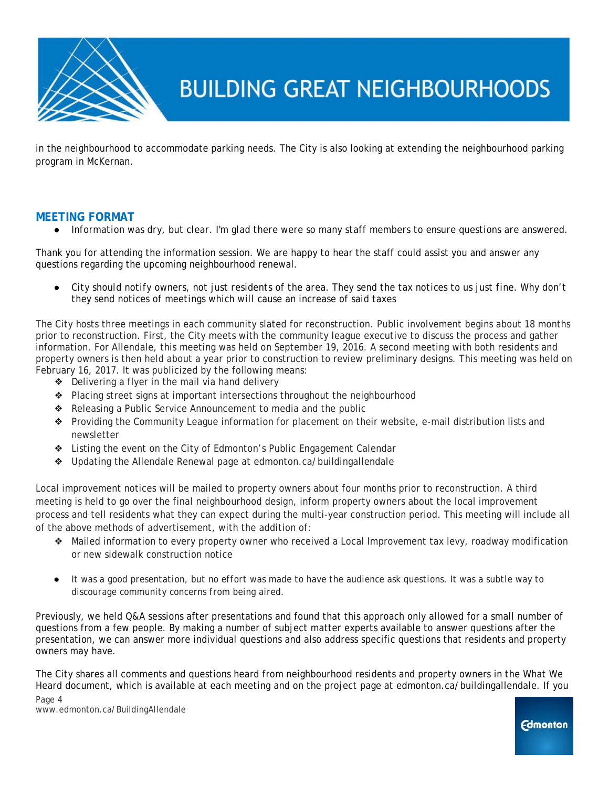

in the neighbourhood to accommodate parking needs. The City is also looking at extending the neighbourhood parking program in McKernan.

### **MEETING FORMAT**

Information was dry, but clear. I'm glad there were so many staff members to ensure questions are answered.

Thank you for attending the information session. We are happy to hear the staff could assist you and answer any questions regarding the upcoming neighbourhood renewal.

City should notify owners, not just residents of the area. They send the tax notices to us just fine. Why don't *they send notices of meetings which will cause an increase of said taxes*

The City hosts three meetings in each community slated for reconstruction. Public involvement begins about 18 months prior to reconstruction. First, the City meets with the community league executive to discuss the process and gather information. For Allendale, this meeting was held on September 19, 2016. A second meeting with both residents and property owners is then held about a year prior to construction to review preliminary designs. This meeting was held on February 16, 2017. It was publicized by the following means:

- ❖ Delivering a flyer in the mail via hand delivery
- ❖ Placing street signs at important intersections throughout the neighbourhood
- ❖ Releasing a Public Service Announcement to media and the public
- ❖ Providing the Community League information for placement on their website, e-mail distribution lists and newsletter
- ❖ Listing the event on the City of Edmonton's Public Engagement Calendar
- ❖ Updating the Allendale Renewal page at edmonton.ca/buildingallendale

Local improvement notices will be mailed to property owners about four months prior to reconstruction. A third meeting is held to go over the final neighbourhood design, inform property owners about the local improvement process and tell residents what they can expect during the multi-year construction period. This meeting will include all of the above methods of advertisement, with the addition of:

- ❖ Mailed information to every property owner who received a Local Improvement tax levy, roadway modification or new sidewalk construction notice
- *It was a good presentation, but no effort was made to have the audience ask questions. It was a subtle way to discourage community concerns from being aired.*

Previously, we held Q&A sessions after presentations and found that this approach only allowed for a small number of questions from a few people. By making a number of subject matter experts available to answer questions after the presentation, we can answer more individual questions and also address specific questions that residents and property owners may have.

The City shares all comments and questions heard from neighbourhood residents and property owners in the What We Heard document, which is available at each meeting and on the project page at edmonton.ca/buildingallendale. If you Page 4

www.edmonton.ca/BuildingAllendale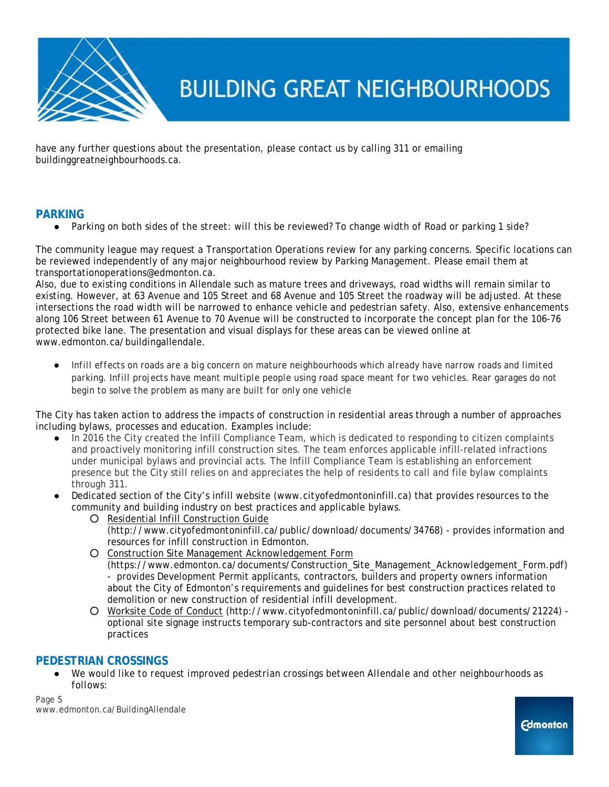

have any further questions about the presentation, please contact us by calling 311 or emailing buildinggreatneighbourhoods.ca.

### **PARKING**

● *Parking on both sides of the street: will this be reviewed? To change width of Road or parking 1 side?* 

The community league may request a Transportation Operations review for any parking concerns. Specific locations can be reviewed independently of any major neighbourhood review by Parking Management. Please email them at transportationoperations@edmonton.ca.

Also, due to existing conditions in Allendale such as mature trees and driveways, road widths will remain similar to existing. However, at 63 Avenue and 105 Street and 68 Avenue and 105 Street the roadway will be adjusted. At these intersections the road width will be narrowed to enhance vehicle and pedestrian safety. Also, extensive enhancements along 106 Street between 61 Avenue to 70 Avenue will be constructed to incorporate the concept plan for the 106-76 protected bike lane. The presentation and visual displays for these areas can be viewed online at www.edmonton.ca/buildingallendale.

● *Infill effects on roads are a big concern on mature neighbourhoods which already have narrow roads and limited parking. Infill projects have meant multiple people using road space meant for two vehicles. Rear garages do not begin to solve the problem as many are built for only one vehicle*

The City has taken action to address the impacts of construction in residential areas through a number of approaches including bylaws, processes and education. Examples include:

- In 2016 the City created the Infill Compliance Team, which is dedicated to responding to citizen complaints and proactively monitoring infill construction sites. The team enforces applicable infill-related infractions under municipal bylaws and provincial acts. The Infill Compliance Team is establishing an enforcement presence but the City still relies on and appreciates the help of residents to call and file bylaw complaints through 311.
- Dedicated section of the City's infill website [\(www.cityofedmontoninfill.ca\)](http://www.cityofedmontontinfill.ca/) that provides resources to the community and building industry on best practices and applicable bylaws.
	- [Residential Infill Construction Guide](http://www.cityofedmontoninfill.ca/public/download/documents/34768) (http://www.cityofedmontoninfill.ca/public/download/documents/34768) - provides information and resources for infill construction in Edmonton.
	- [Construction Site Management Acknowledgement Form](https://www.edmonton.ca/documents/Construction_Site_Management_Acknowledgement_Form.pdf) (https://www.edmonton.ca/documents/Construction\_Site\_Management\_Acknowledgement\_Form.pdf) - provides Development Permit applicants, contractors, builders and property owners information about the City of Edmonton's requirements and guidelines for best construction practices related to demolition or new construction of residential infill development.
	- [Worksite Code of Conduct](http://www.cityofedmontoninfill.ca/public/download/documents/21224) (http://www.cityofedmontoninfill.ca/public/download/documents/21224) optional site signage instructs temporary sub-contractors and site personnel about best construction practices

### **PEDESTRIAN CROSSINGS**

We would like to request improved pedestrian crossings between Allendale and other neighbourhoods as *follows:*

Page 5 www.edmonton.ca/BuildingAllendale

**Edmonton**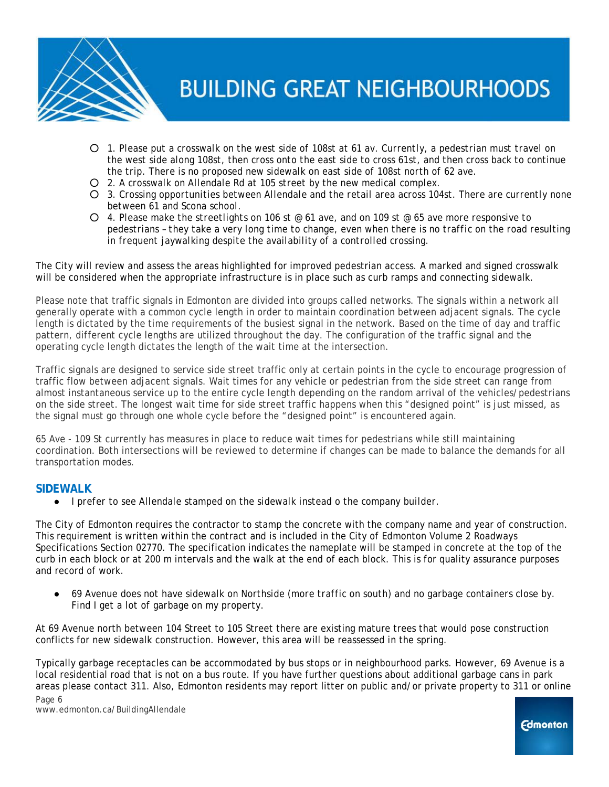

- *1. Please put a crosswalk on the west side of 108st at 61 av. Currently, a pedestrian must travel on the west side along 108st, then cross onto the east side to cross 61st, and then cross back to continue the trip. There is no proposed new sidewalk on east side of 108st north of 62 ave.*
- *2. A crosswalk on Allendale Rd at 105 street by the new medical complex.*
- *3. Crossing opportunities between Allendale and the retail area across 104st. There are currently none between 61 and Scona school.*
- *4. Please make the streetlights on 106 st @ 61 ave, and on 109 st @ 65 ave more responsive to pedestrians – they take a very long time to change, even when there is no traffic on the road resulting in frequent jaywalking despite the availability of a controlled crossing.*

The City will review and assess the areas highlighted for improved pedestrian access. A marked and signed crosswalk will be considered when the appropriate infrastructure is in place such as curb ramps and connecting sidewalk.

Please note that traffic signals in Edmonton are divided into groups called networks. The signals within a network all generally operate with a common cycle length in order to maintain coordination between adjacent signals. The cycle length is dictated by the time requirements of the busiest signal in the network. Based on the time of day and traffic pattern, different cycle lengths are utilized throughout the day. The configuration of the traffic signal and the operating cycle length dictates the length of the wait time at the intersection.

Traffic signals are designed to service side street traffic only at certain points in the cycle to encourage progression of traffic flow between adjacent signals. Wait times for any vehicle or pedestrian from the side street can range from almost instantaneous service up to the entire cycle length depending on the random arrival of the vehicles/pedestrians on the side street. The longest wait time for side street traffic happens when this "designed point" is just missed, as the signal must go through one whole cycle before the "designed point" is encountered again.

65 Ave - 109 St currently has measures in place to reduce wait times for pedestrians while still maintaining coordination. Both intersections will be reviewed to determine if changes can be made to balance the demands for all transportation modes.

### **SIDEWALK**

● *I prefer to see Allendale stamped on the sidewalk instead o the company builder.*

The City of Edmonton requires the contractor to stamp the concrete with the company name and year of construction. This requirement is written within the contract and is included in the City of Edmonton Volume 2 Roadways Specifications Section 02770. The specification indicates the nameplate will be stamped in concrete at the top of the curb in each block or at 200 m intervals and the walk at the end of each block. This is for quality assurance purposes and record of work.

● *69 Avenue does not have sidewalk on Northside (more traffic on south) and no garbage containers close by. Find I get a lot of garbage on my property.*

At 69 Avenue north between 104 Street to 105 Street there are existing mature trees that would pose construction conflicts for new sidewalk construction. However, this area will be reassessed in the spring.

Typically garbage receptacles can be accommodated by bus stops or in neighbourhood parks. However, 69 Avenue is a local residential road that is not on a bus route. If you have further questions about additional garbage cans in park areas please contact 311. Also, Edmonton residents may report litter on public and/or private property to 311 or online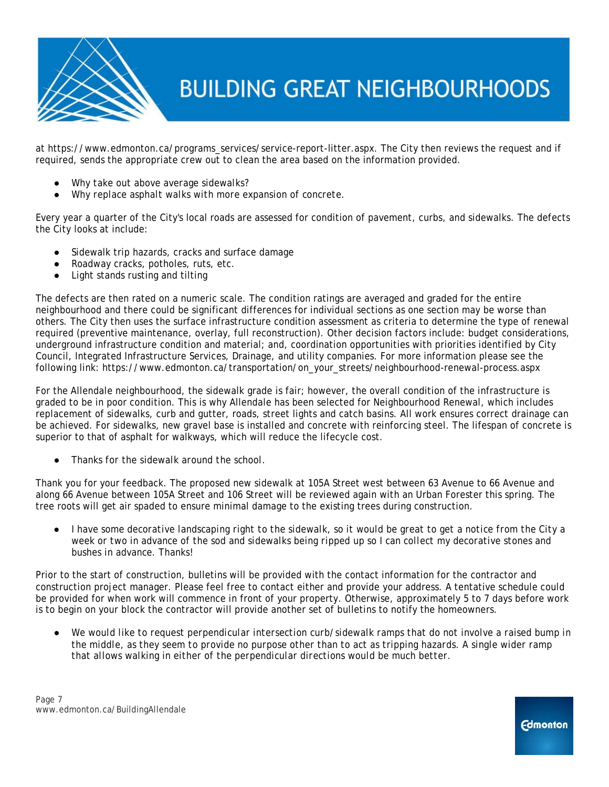

at https://www.edmonton.ca/programs\_services/service-report-litter.aspx. The City then reviews the request and if required, sends the appropriate crew out to clean the area based on the information provided.

- *Why take out above average sidewalks?*
- Why replace asphalt walks with more expansion of concrete.

Every year a quarter of the City's local roads are assessed for condition of pavement, curbs, and sidewalks. The defects the City looks at include:

- Sidewalk trip hazards, cracks and surface damage
- Roadway cracks, potholes, ruts, etc.
- Light stands rusting and tilting

The defects are then rated on a numeric scale. The condition ratings are averaged and graded for the entire neighbourhood and there could be significant differences for individual sections as one section may be worse than others. The City then uses the surface infrastructure condition assessment as criteria to determine the type of renewal required (preventive maintenance, overlay, full reconstruction). Other decision factors include: budget considerations, underground infrastructure condition and material; and, coordination opportunities with priorities identified by City Council, Integrated Infrastructure Services, Drainage, and utility companies. For more information please see the following link: https://www.edmonton.ca/transportation/on\_your\_streets/neighbourhood-renewal-process.aspx

For the Allendale neighbourhood, the sidewalk grade is fair; however, the overall condition of the infrastructure is graded to be in poor condition. This is why Allendale has been selected for Neighbourhood Renewal, which includes replacement of sidewalks, curb and gutter, roads, street lights and catch basins. All work ensures correct drainage can be achieved. For sidewalks, new gravel base is installed and concrete with reinforcing steel. The lifespan of concrete is superior to that of asphalt for walkways, which will reduce the lifecycle cost.

● *Thanks for the sidewalk around the school.*

Thank you for your feedback. The proposed new sidewalk at 105A Street west between 63 Avenue to 66 Avenue and along 66 Avenue between 105A Street and 106 Street will be reviewed again with an Urban Forester this spring. The tree roots will get air spaded to ensure minimal damage to the existing trees during construction.

● *I have some decorative landscaping right to the sidewalk, so it would be great to get a notice from the City a week or two in advance of the sod and sidewalks being ripped up so I can collect my decorative stones and bushes in advance. Thanks!*

Prior to the start of construction, bulletins will be provided with the contact information for the contractor and construction project manager. Please feel free to contact either and provide your address. A tentative schedule could be provided for when work will commence in front of your property. Otherwise, approximately 5 to 7 days before work is to begin on your block the contractor will provide another set of bulletins to notify the homeowners.

We would like to request perpendicular intersection curb/sidewalk ramps that do not involve a raised bump in *the middle, as they seem to provide no purpose other than to act as tripping hazards. A single wider ramp that allows walking in either of the perpendicular directions would be much better.*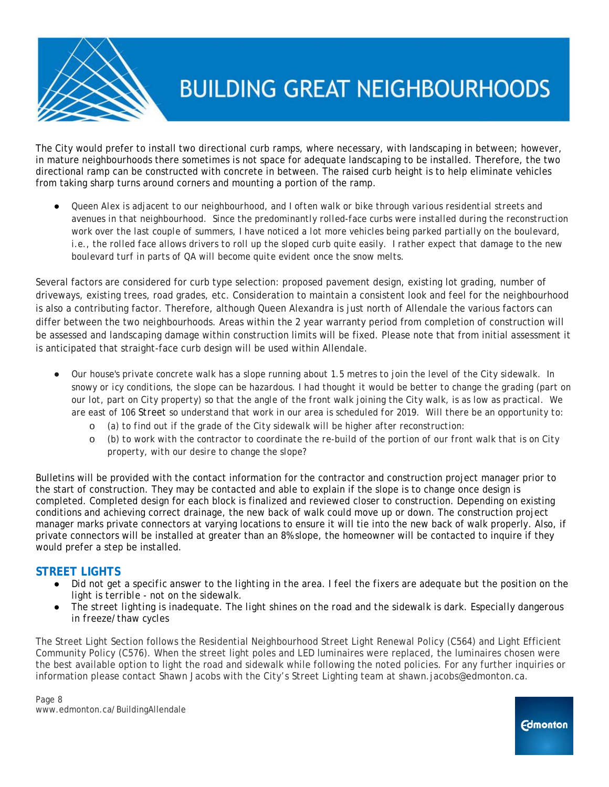

The City would prefer to install two directional curb ramps, where necessary, with landscaping in between; however, in mature neighbourhoods there sometimes is not space for adequate landscaping to be installed. Therefore, the two directional ramp can be constructed with concrete in between. The raised curb height is to help eliminate vehicles from taking sharp turns around corners and mounting a portion of the ramp.

● *Queen Alex is adjacent to our neighbourhood, and I often walk or bike through various residential streets and avenues in that neighbourhood. Since the predominantly rolled-face curbs were installed during the reconstruction work over the last couple of summers, I have noticed a lot more vehicles being parked partially on the boulevard, i.e., the rolled face allows drivers to roll up the sloped curb quite easily. I rather expect that damage to the new boulevard turf in parts of QA will become quite evident once the snow melts.* 

Several factors are considered for curb type selection: proposed pavement design, existing lot grading, number of driveways, existing trees, road grades, etc. Consideration to maintain a consistent look and feel for the neighbourhood is also a contributing factor. Therefore, although Queen Alexandra is just north of Allendale the various factors can differ between the two neighbourhoods. Areas within the 2 year warranty period from completion of construction will be assessed and landscaping damage within construction limits will be fixed. Please note that from initial assessment it is anticipated that straight-face curb design will be used within Allendale.

- *Our house's private concrete walk has a slope running about 1.5 metres to join the level of the City sidewalk. In snowy or icy conditions, the slope can be hazardous. I had thought it would be better to change the grading (part on our lot, part on City property) so that the angle of the front walk joining the City walk, is as low as practical. We are east of 106 Street so understand that work in our area is scheduled for 2019. Will there be an opportunity to:* 
	- o *(a) to find out if the grade of the City sidewalk will be higher after reconstruction:*
	- o *(b) to work with the contractor to coordinate the re-build of the portion of our front walk that is on City property, with our desire to change the slope?*

Bulletins will be provided with the contact information for the contractor and construction project manager prior to the start of construction. They may be contacted and able to explain if the slope is to change once design is completed. Completed design for each block is finalized and reviewed closer to construction. Depending on existing conditions and achieving correct drainage, the new back of walk could move up or down. The construction project manager marks private connectors at varying locations to ensure it will tie into the new back of walk properly. Also, if private connectors will be installed at greater than an 8% slope, the homeowner will be contacted to inquire if they would prefer a step be installed.

### **STREET LIGHTS**

- *Did not get a specific answer to the lighting in the area. I feel the fixers are adequate but the position on the light is terrible - not on the sidewalk.*
- *The street lighting is inadequate. The light shines on the road and the sidewalk is dark. Especially dangerous in freeze/thaw cycles*

The Street Light Section follows the Residential Neighbourhood Street Light Renewal Policy (C564) and Light Efficient Community Policy (C576). When the street light poles and LED luminaires were replaced, the luminaires chosen were the best available option to light the road and sidewalk while following the noted policies. For any further inquiries or information please contact Shawn Jacobs with the City's Street Lighting team at shawn.jacobs@edmonton.ca.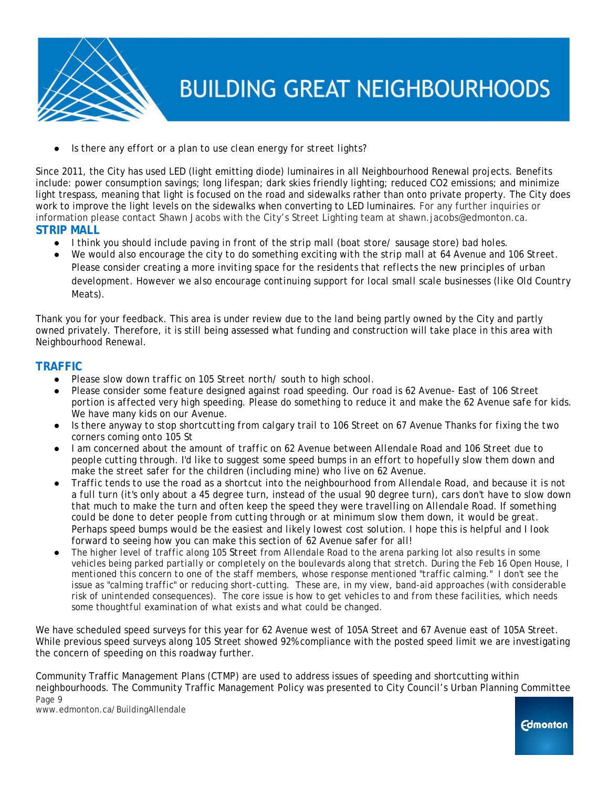

*Is there any effort or a plan to use clean energy for street lights?* 

Since 2011, the City has used LED (light emitting diode) luminaires in all Neighbourhood Renewal projects. Benefits include: power consumption savings; long lifespan; dark skies friendly lighting; reduced CO2 emissions; and minimize light trespass, meaning that light is focused on the road and sidewalks rather than onto private property. The City does work to improve the light levels on the sidewalks when converting to LED luminaires. For any further inquiries or information please contact Shawn Jacobs with the City's Street Lighting team at shawn.jacobs@edmonton.ca. **STRIP MALL**

- *I think you should include paving in front of the strip mall (boat store/ sausage store) bad holes.*
- We would also encourage the city to do something exciting with the strip mall at 64 Avenue and 106 Street. *Please consider creating a more inviting space for the residents that reflects the new principles of urban development. However we also encourage continuing support for local small scale businesses (like Old Country Meats).*

Thank you for your feedback. This area is under review due to the land being partly owned by the City and partly owned privately. Therefore, it is still being assessed what funding and construction will take place in this area with Neighbourhood Renewal.

### **TRAFFIC**

- Please slow down traffic on 105 Street north/ south to high school.
- *Please consider some feature designed against road speeding. Our road is 62 Avenue- East of 106 Street portion is affected very high speeding. Please do something to reduce it and make the 62 Avenue safe for kids. We have many kids on our Avenue.*
- *Is there anyway to stop shortcutting from calgary trail to 106 Street on 67 Avenue Thanks for fixing the two corners coming onto 105 St*
- *I am concerned about the amount of traffic on 62 Avenue between Allendale Road and 106 Street due to people cutting through. I'd like to suggest some speed bumps in an effort to hopefully slow them down and make the street safer for the children (including mine) who live on 62 Avenue.*
- *Traffic tends to use the road as a shortcut into the neighbourhood from Allendale Road, and because it is not a full turn (it's only about a 45 degree turn, instead of the usual 90 degree turn), cars don't have to slow down that much to make the turn and often keep the speed they were travelling on Allendale Road. If something could be done to deter people from cutting through or at minimum slow them down, it would be great. Perhaps speed bumps would be the easiest and likely lowest cost solution. I hope this is helpful and I look forward to seeing how you can make this section of 62 Avenue safer for all!*
- *The higher level of traffic along 105 Street from Allendale Road to the arena parking lot also results in some vehicles being parked partially or completely on the boulevards along that stretch. During the Feb 16 Open House, I mentioned this concern to one of the staff members, whose response mentioned "traffic calming." I don't see the issue as "calming traffic" or reducing short-cutting. These are, in my view, band-aid approaches (with considerable risk of unintended consequences). The core issue is how to get vehicles to and from these facilities, which needs some thoughtful examination of what exists and what could be changed.*

We have scheduled speed surveys for this year for 62 Avenue west of 105A Street and 67 Avenue east of 105A Street. While previous speed surveys along 105 Street showed 92% compliance with the posted speed limit we are investigating the concern of speeding on this roadway further.

Community Traffic Management Plans (CTMP) are used to address issues of speeding and shortcutting within neighbourhoods. The Community Traffic Management Policy was presented to City Council's Urban Planning Committee Page 9

www.edmonton.ca/BuildingAllendale

**Edmonton**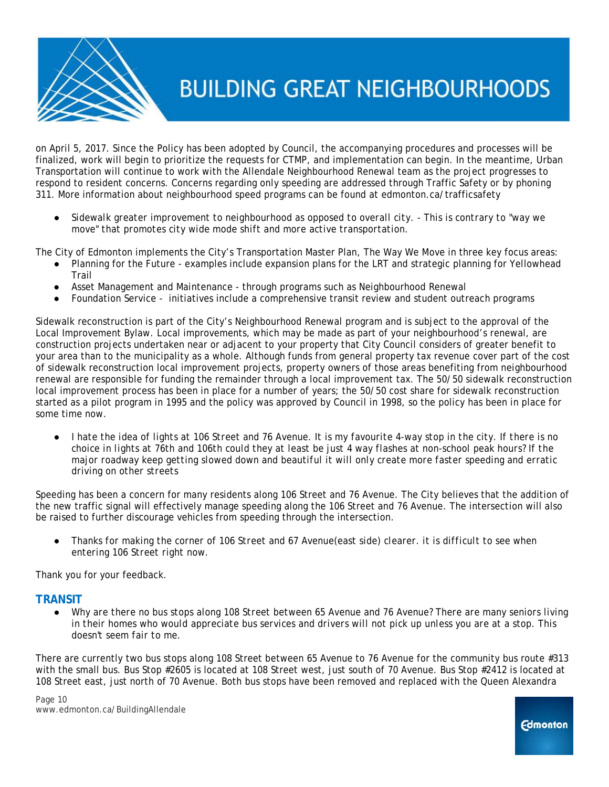

on April 5, 2017. Since the Policy has been adopted by Council, the accompanying procedures and processes will be finalized, work will begin to prioritize the requests for CTMP, and implementation can begin. In the meantime, Urban Transportation will continue to work with the Allendale Neighbourhood Renewal team as the project progresses to respond to resident concerns. Concerns regarding only speeding are addressed through Traffic Safety or by phoning 311. More information about neighbourhood speed programs can be found at edmonton.ca/trafficsafety

● *Sidewalk greater improvement to neighbourhood as opposed to overall city. - This is contrary to "way we move" that promotes city wide mode shift and more active transportation.*

The City of Edmonton implements the City's Transportation Master Plan, *The Way We Move* in three key focus areas:

- Planning for the Future examples include expansion plans for the LRT and strategic planning for Yellowhead Trail
- Asset Management and Maintenance through programs such as Neighbourhood Renewal
- Foundation Service initiatives include a comprehensive transit review and student outreach programs

Sidewalk reconstruction is part of the City's Neighbourhood Renewal program and is subject to the approval of the Local Improvement Bylaw. Local improvements, which may be made as part of your neighbourhood's renewal, are construction projects undertaken near or adjacent to your property that City Council considers of greater benefit to your area than to the municipality as a whole. Although funds from general property tax revenue cover part of the cost of sidewalk reconstruction local improvement projects, property owners of those areas benefiting from neighbourhood renewal are responsible for funding the remainder through a local improvement tax. The 50/50 sidewalk reconstruction local improvement process has been in place for a number of years; the 50/50 cost share for sidewalk reconstruction started as a pilot program in 1995 and the policy was approved by Council in 1998, so the policy has been in place for some time now.

● *I hate the idea of lights at 106 Street and 76 Avenue. It is my favourite 4-way stop in the city. If there is no choice in lights at 76th and 106th could they at least be just 4 way flashes at non-school peak hours? If the major roadway keep getting slowed down and beautiful it will only create more faster speeding and erratic driving on other streets*

Speeding has been a concern for many residents along 106 Street and 76 Avenue. The City believes that the addition of the new traffic signal will effectively manage speeding along the 106 Street and 76 Avenue. The intersection will also be raised to further discourage vehicles from speeding through the intersection.

● *Thanks for making the corner of 106 Street and 67 Avenue(east side) clearer. it is difficult to see when entering 106 Street right now.*

Thank you for your feedback.

### **TRANSIT**

Why are there no bus stops along 108 Street between 65 Avenue and 76 Avenue? There are many seniors living *in their homes who would appreciate bus services and drivers will not pick up unless you are at a stop. This doesn't seem fair to me.*

There are currently two bus stops along 108 Street between 65 Avenue to 76 Avenue for the community bus route #313 with the small bus. Bus Stop #2605 is located at 108 Street west, just south of 70 Avenue. Bus Stop #2412 is located at 108 Street east, just north of 70 Avenue. Both bus stops have been removed and replaced with the Queen Alexandra

Page 10 www.edmonton.ca/BuildingAllendale

**Edmonton**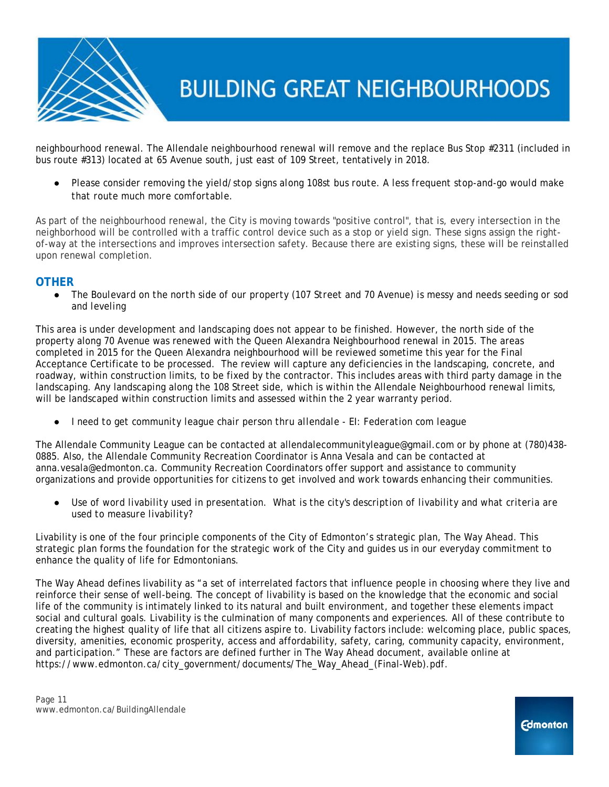

neighbourhood renewal. The Allendale neighbourhood renewal will remove and the replace Bus Stop #2311 (included in bus route #313) located at 65 Avenue south, just east of 109 Street, tentatively in 2018.

● *Please consider removing the yield/stop signs along 108st bus route. A less frequent stop-and-go would make that route much more comfortable.*

As part of the neighbourhood renewal, the City is moving towards "positive control", that is, every intersection in the neighborhood will be controlled with a traffic control device such as a stop or yield sign. These signs assign the rightof-way at the intersections and improves intersection safety. Because there are existing signs, these will be reinstalled upon renewal completion.

### **OTHER**

● *The Boulevard on the north side of our property (107 Street and 70 Avenue) is messy and needs seeding or sod and leveling*

This area is under development and landscaping does not appear to be finished. However, the north side of the property along 70 Avenue was renewed with the Queen Alexandra Neighbourhood renewal in 2015. The areas completed in 2015 for the Queen Alexandra neighbourhood will be reviewed sometime this year for the Final Acceptance Certificate to be processed. The review will capture any deficiencies in the landscaping, concrete, and roadway, within construction limits, to be fixed by the contractor. This includes areas with third party damage in the landscaping. Any landscaping along the 108 Street side, which is within the Allendale Neighbourhood renewal limits, will be landscaped within construction limits and assessed within the 2 year warranty period.

● *I need to get community league chair person thru allendale - EI: Federation com league*

The Allendale Community League can be contacted at allendalecommunityleague@gmail.com or by phone at (780)438- 0885. Also, the Allendale Community Recreation Coordinator is Anna Vesala and can be contacted at anna.vesala@edmonton.ca. Community Recreation Coordinators offer support and assistance to community organizations and provide opportunities for citizens to get involved and work towards enhancing their communities.

Use of word livability used in presentation. What is the city's description of livability and what criteria are *used to measure livability?*

Livability is one of the four principle components of the City of Edmonton's strategic plan, *The Way Ahead*. This strategic plan forms the foundation for the strategic work of the City and guides us in our everyday commitment to enhance the quality of life for Edmontonians.

*The Way Ahead* defines livability as "a set of interrelated factors that influence people in choosing where they live and reinforce their sense of well-being. The concept of livability is based on the knowledge that the economic and social life of the community is intimately linked to its natural and built environment, and together these elements impact social and cultural goals. Livability is the culmination of many components and experiences. All of these contribute to creating the highest quality of life that all citizens aspire to. Livability factors include: welcoming place, public spaces, diversity, amenities, economic prosperity, access and affordability, safety, caring, community capacity, environment, and participation." These are factors are defined further in *The Way Ahea*d document, available online at https://www.edmonton.ca/city\_government/documents/The\_Way\_Ahead\_(Final-Web).pdf.